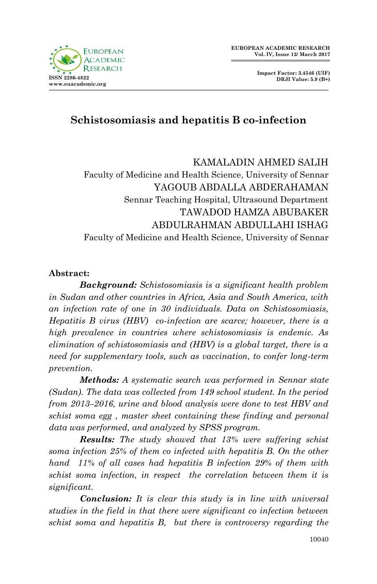

# **Schistosomiasis and hepatitis B co-infection**

# KAMALADIN AHMED SALIH Faculty of Medicine and Health Science, University of Sennar YAGOUB ABDALLA ABDERAHAMAN Sennar Teaching Hospital, Ultrasound Department TAWADOD HAMZA ABUBAKER ABDULRAHMAN ABDULLAHI ISHAG Faculty of Medicine and Health Science, University of Sennar

## **Abstract:**

*Background: Schistosomiasis is a significant health problem in Sudan and other countries in Africa, Asia and South America, with an infection rate of one in 30 individuals. Data on Schistosomiasis, Hepatitis B virus (HBV) co-infection are scarce; however, there is a high prevalence in countries where schistosomiasis is endemic. As elimination of schistosomiasis and (HBV) is a global target, there is a need for supplementary tools, such as vaccination, to confer long-term prevention.* 

*Methods: A systematic search was performed in Sennar state (Sudan). The data was collected from 149 school student. In the period from 2013–2016, urine and blood analysis were done to test HBV and schist soma egg , master sheet containing these finding and personal data was performed, and analyzed by SPSS program.* 

*Results: The study showed that 13% were suffering schist soma infection 25% of them co infected with hepatitis B. On the other hand 11% of all cases had hepatitis B infection 29% of them with schist soma infection, in respect the correlation between them it is significant.* 

*Conclusion: It is clear this study is in line with universal studies in the field in that there were significant co infection between schist soma and hepatitis B, but there is controversy regarding the*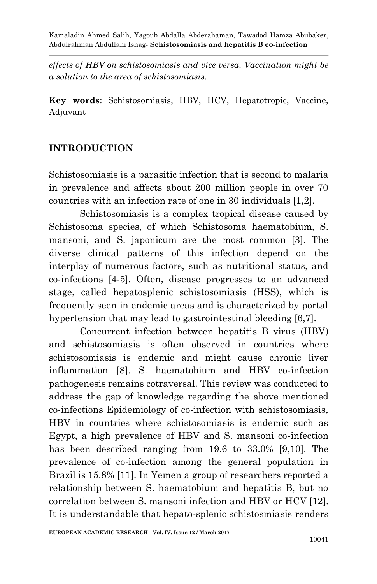*effects of HBV on schistosomiasis and vice versa. Vaccination might be a solution to the area of schistosomiasis.* 

**Key words**: Schistosomiasis, HBV, HCV, Hepatotropic, Vaccine, Adjuvant

## **INTRODUCTION**

Schistosomiasis is a parasitic infection that is second to malaria in prevalence and affects about 200 million people in over 70 countries with an infection rate of one in 30 individuals [1,2].

Schistosomiasis is a complex tropical disease caused by Schistosoma species, of which Schistosoma haematobium, S. mansoni, and S. japonicum are the most common [3]. The diverse clinical patterns of this infection depend on the interplay of numerous factors, such as nutritional status, and co-infections [4-5]. Often, disease progresses to an advanced stage, called hepatosplenic schistosomiasis (HSS), which is frequently seen in endemic areas and is characterized by portal hypertension that may lead to gastrointestinal bleeding [6,7].

Concurrent infection between hepatitis B virus (HBV) and schistosomiasis is often observed in countries where schistosomiasis is endemic and might cause chronic liver inflammation [8]. S. haematobium and HBV co-infection pathogenesis remains cotraversal. This review was conducted to address the gap of knowledge regarding the above mentioned co-infections Epidemiology of co-infection with schistosomiasis, HBV in countries where schistosomiasis is endemic such as Egypt, a high prevalence of HBV and S. mansoni co-infection has been described ranging from 19.6 to 33.0% [9,10]. The prevalence of co-infection among the general population in Brazil is 15.8% [11]. In Yemen a group of researchers reported a relationship between S. haematobium and hepatitis B, but no correlation between S. mansoni infection and HBV or HCV [12]. It is understandable that hepato-splenic schistosmiasis renders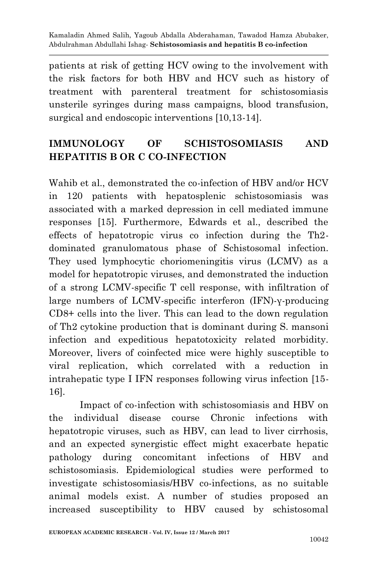patients at risk of getting HCV owing to the involvement with the risk factors for both HBV and HCV such as history of treatment with parenteral treatment for schistosomiasis unsterile syringes during mass campaigns, blood transfusion, surgical and endoscopic interventions [10,13-14].

# **IMMUNOLOGY OF SCHISTOSOMIASIS AND HEPATITIS B OR C CO-INFECTION**

Wahib et al., demonstrated the co-infection of HBV and/or HCV in 120 patients with hepatosplenic schistosomiasis was associated with a marked depression in cell mediated immune responses [15]. Furthermore, Edwards et al., described the effects of hepatotropic virus co infection during the Th2 dominated granulomatous phase of Schistosomal infection. They used lymphocytic choriomeningitis virus (LCMV) as a model for hepatotropic viruses, and demonstrated the induction of a strong LCMV-specific T cell response, with infiltration of large numbers of LCMV-specific interferon (IFN)-γ-producing CD8+ cells into the liver. This can lead to the down regulation of Th2 cytokine production that is dominant during S. mansoni infection and expeditious hepatotoxicity related morbidity. Moreover, livers of coinfected mice were highly susceptible to viral replication, which correlated with a reduction in intrahepatic type I IFN responses following virus infection [15- 16].

Impact of co-infection with schistosomiasis and HBV on the individual disease course Chronic infections with hepatotropic viruses, such as HBV, can lead to liver cirrhosis, and an expected synergistic effect might exacerbate hepatic pathology during concomitant infections of HBV and schistosomiasis. Epidemiological studies were performed to investigate schistosomiasis/HBV co-infections, as no suitable animal models exist. A number of studies proposed an increased susceptibility to HBV caused by schistosomal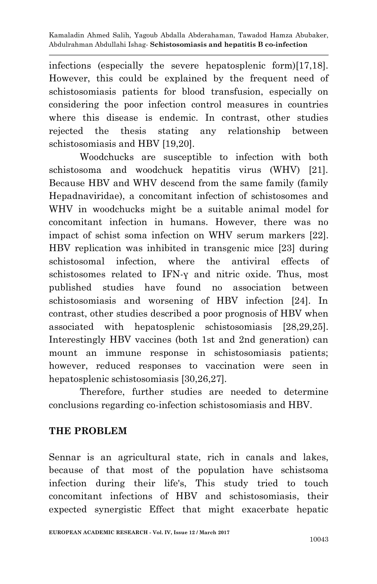infections (especially the severe hepatosplenic form)[17,18]. However, this could be explained by the frequent need of schistosomiasis patients for blood transfusion, especially on considering the poor infection control measures in countries where this disease is endemic. In contrast, other studies rejected the thesis stating any relationship between schistosomiasis and HBV [19,20].

Woodchucks are susceptible to infection with both schistosoma and woodchuck hepatitis virus (WHV) [21]. Because HBV and WHV descend from the same family (family Hepadnaviridae), a concomitant infection of schistosomes and WHV in woodchucks might be a suitable animal model for concomitant infection in humans. However, there was no impact of schist soma infection on WHV serum markers [22]. HBV replication was inhibited in transgenic mice [23] during schistosomal infection, where the antiviral effects of schistosomes related to IFN-γ and nitric oxide. Thus, most published studies have found no association between schistosomiasis and worsening of HBV infection [24]. In contrast, other studies described a poor prognosis of HBV when associated with hepatosplenic schistosomiasis [28,29,25]. Interestingly HBV vaccines (both 1st and 2nd generation) can mount an immune response in schistosomiasis patients; however, reduced responses to vaccination were seen in hepatosplenic schistosomiasis [30,26,27].

Therefore, further studies are needed to determine conclusions regarding co-infection schistosomiasis and HBV.

## **THE PROBLEM**

Sennar is an agricultural state, rich in canals and lakes, because of that most of the population have schistsoma infection during their life's, This study tried to touch concomitant infections of HBV and schistosomiasis, their expected synergistic Effect that might exacerbate hepatic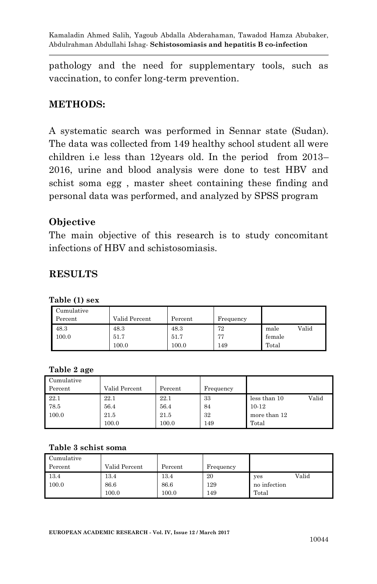pathology and the need for supplementary tools, such as vaccination, to confer long-term prevention.

## **METHODS:**

A systematic search was performed in Sennar state (Sudan). The data was collected from 149 healthy school student all were children i.e less than 12years old. In the period from 2013– 2016, urine and blood analysis were done to test HBV and schist soma egg , master sheet containing these finding and personal data was performed, and analyzed by SPSS program

## **Objective**

The main objective of this research is to study concomitant infections of HBV and schistosomiasis.

## **RESULTS**

| Cumulative<br>Percent | Valid Percent | Percent | Frequency |               |
|-----------------------|---------------|---------|-----------|---------------|
| 48.3                  | 48.3          | 48.3    | 72        | Valid<br>male |
| 100.0                 | 51.7          | 51.7    | 77        | female        |
|                       | 100.0         | 100.0   | 149       | Total         |

#### **Table (1) sex**

#### **Table 2 age**

| Cumulative |               |         |           |                       |
|------------|---------------|---------|-----------|-----------------------|
| Percent    | Valid Percent | Percent | Frequency |                       |
| 22.1       | 22.1          | 22.1    | 33        | Valid<br>less than 10 |
| 78.5       | 56.4          | 56.4    | 84        | $10 - 12$             |
| 100.0      | 21.5          | 21.5    | 32        | more than 12          |
|            | 100.0         | 100.0   | 149       | Total                 |

#### **Table 3 schist soma**

| Cumulative |               |         |           |              |
|------------|---------------|---------|-----------|--------------|
| Percent    | Valid Percent | Percent | Frequency |              |
| 13.4       | 13.4          | 13.4    | 20        | Valid<br>yes |
| 100.0      | 86.6          | 86.6    | 129       | no infection |
|            | 100.0         | 100.0   | 149       | Total        |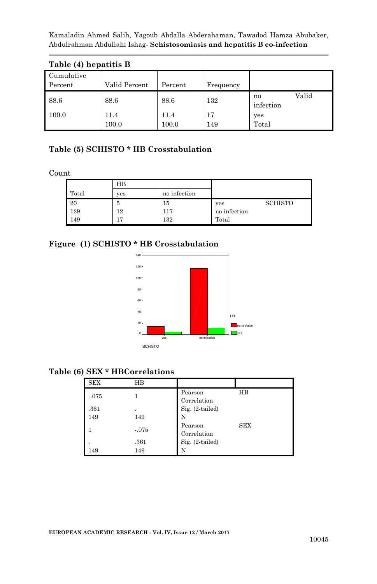| Table (4) hepatitis B |               |               |           |                          |  |
|-----------------------|---------------|---------------|-----------|--------------------------|--|
| Cumulative<br>Percent | Valid Percent | Percent       | Frequency |                          |  |
| 88.6                  | 88.6          | 88.6          | 132       | Valid<br>no<br>infection |  |
| 100.0                 | 11.4<br>100.0 | 11.4<br>100.0 | 17<br>149 | yes<br>Total             |  |

# **Table (5) SCHISTO \* HB Crosstabulation**

Count

|       | $_{\rm HB}$ |              |              |         |
|-------|-------------|--------------|--------------|---------|
| Total | yes         | no infection |              |         |
| 20    | 5           | 15           | yes          | SCHISTO |
| 129   | 12          | 117          | no infection |         |
| 149   | 17          | 132          | Total        |         |

#### **Figure (1) SCHISTO \* HB Crosstabulation**



### **Table (6) SEX \* HBCorrelations**

| <b>SEX</b> | HВ      |                        |            |
|------------|---------|------------------------|------------|
| $-.075$    |         | Pearson<br>Correlation | HВ         |
| .361       |         | Sig. (2-tailed)        |            |
| 149        | 149     | N                      |            |
|            | $-.075$ | Pearson<br>Correlation | <b>SEX</b> |
| ٠          | .361    | Sig. (2-tailed)        |            |
| 149        | 149     | N                      |            |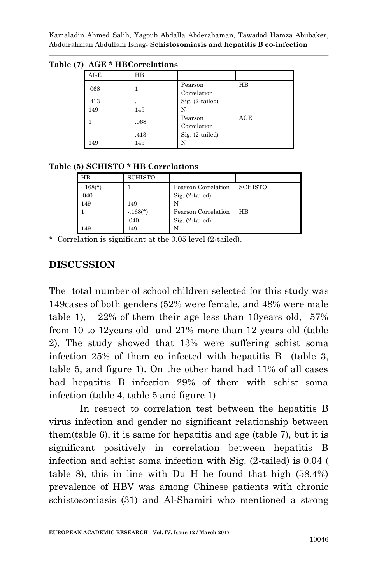| , | ----- | ------------ |                        |     |
|---|-------|--------------|------------------------|-----|
|   | AGE   | $_{\rm HB}$  |                        |     |
|   | .068  |              | Pearson<br>Correlation | HВ  |
|   | .413  |              | Sig. (2-tailed)        |     |
|   | 149   | 149          | N                      |     |
|   |       | .068         | Pearson<br>Correlation | AGE |
|   |       | .413         | Sig. (2-tailed)        |     |
|   | 149   | 149          | N                      |     |

**Table (7) AGE \* HBCorrelations**

#### **Table (5) SCHISTO \* HB Correlations**

| HB         | SCHISTO    |                     |                |
|------------|------------|---------------------|----------------|
| $-.168(*)$ |            | Pearson Correlation | <b>SCHISTO</b> |
| .040       |            | $Sig. (2-tailed)$   |                |
| 149        | 149        | N                   |                |
|            | $-.168(*)$ | Pearson Correlation | HВ             |
|            | .040       | $Sig. (2-tailed)$   |                |
| 149        | 149        | N                   |                |

\* Correlation is significant at the 0.05 level (2-tailed).

## **DISCUSSION**

The total number of school children selected for this study was 149cases of both genders (52% were female, and 48% were male table 1), 22% of them their age less than 10years old, 57% from 10 to 12years old and 21% more than 12 years old (table 2). The study showed that 13% were suffering schist soma infection 25% of them co infected with hepatitis B (table 3, table 5, and figure 1). On the other hand had 11% of all cases had hepatitis B infection 29% of them with schist soma infection (table 4, table 5 and figure 1).

In respect to correlation test between the hepatitis B virus infection and gender no significant relationship between them(table 6), it is same for hepatitis and age (table 7), but it is significant positively in correlation between hepatitis B infection and schist soma infection with Sig. (2-tailed) is 0.04 ( table 8), this in line with Du H he found that high (58.4%) prevalence of HBV was among Chinese patients with chronic schistosomiasis (31) and Al-Shamiri who mentioned a strong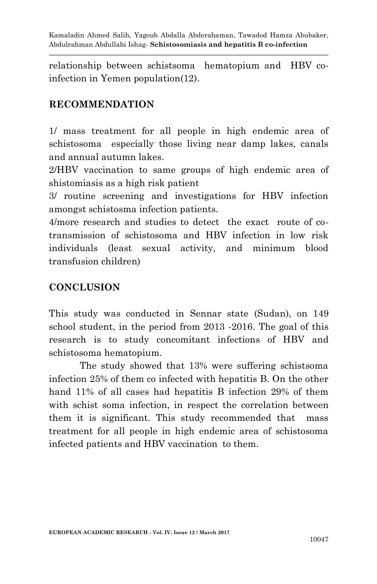relationship between schistsoma hematopium and HBV coinfection in Yemen population(12).

## **RECOMMENDATION**

1/ mass treatment for all people in high endemic area of schistosoma especially those living near damp lakes, canals and annual autumn lakes.

2/HBV vaccination to same groups of high endemic area of shistomiasis as a high risk patient

3/ routine screening and investigations for HBV infection amongst schistosma infection patients.

4/more research and studies to detect the exact route of cotransmission of schistosoma and HBV infection in low risk individuals (least sexual activity, and minimum blood transfusion children)

## **CONCLUSION**

This study was conducted in Sennar state (Sudan), on 149 school student, in the period from 2013 -2016. The goal of this research is to study concomitant infections of HBV and schistosoma hematopium.

 The study showed that 13% were suffering schistsoma infection 25% of them co infected with hepatitis B. On the other hand 11% of all cases had hepatitis B infection 29% of them with schist soma infection, in respect the correlation between them it is significant. This study recommended that mass treatment for all people in high endemic area of schistosoma infected patients and HBV vaccination to them.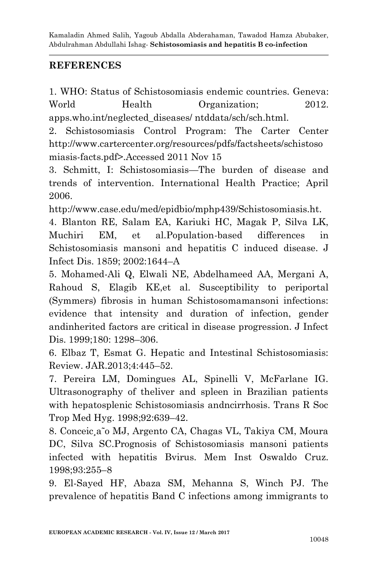## **REFERENCES**

1. WHO: Status of Schistosomiasis endemic countries. Geneva: World Health Organization; 2012. apps.who.int/neglected\_diseases/ ntddata/sch/sch.html.

2. Schistosomiasis Control Program: The Carter Center http://www.cartercenter.org/resources/pdfs/factsheets/schistoso miasis-facts.pdf>.Accessed 2011 Nov 15

3. Schmitt, I: Schistosomiasis—The burden of disease and trends of intervention. International Health Practice; April 2006.

http://www.case.edu/med/epidbio/mphp439/Schistosomiasis.ht.

4. Blanton RE, Salam EA, Kariuki HC, Magak P, Silva LK, Muchiri EM, et al.Population-based differences in Schistosomiasis mansoni and hepatitis C induced disease. J Infect Dis. 1859; 2002:1644–A

5. Mohamed-Ali Q, Elwali NE, Abdelhameed AA, Mergani A, Rahoud S, Elagib KE,et al. Susceptibility to periportal (Symmers) fibrosis in human Schistosomamansoni infections: evidence that intensity and duration of infection, gender andinherited factors are critical in disease progression. J Infect Dis. 1999;180: 1298–306.

6. Elbaz T, Esmat G. Hepatic and Intestinal Schistosomiasis: Review. JAR.2013;4:445–52.

7. Pereira LM, Domingues AL, Spinelli V, McFarlane IG. Ultrasonography of theliver and spleen in Brazilian patients with hepatosplenic Schistosomiasis andncirrhosis. Trans R Soc Trop Med Hyg. 1998;92:639–42.

8. Conceic¸a˜o MJ, Argento CA, Chagas VL, Takiya CM, Moura DC, Silva SC.Prognosis of Schistosomiasis mansoni patients infected with hepatitis Bvirus. Mem Inst Oswaldo Cruz. 1998;93:255–8

9. El-Sayed HF, Abaza SM, Mehanna S, Winch PJ. The prevalence of hepatitis Band C infections among immigrants to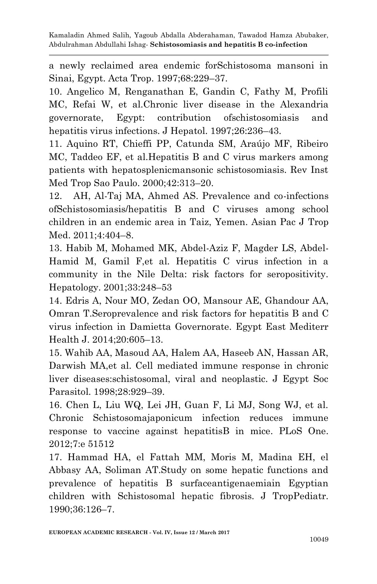a newly reclaimed area endemic forSchistosoma mansoni in Sinai, Egypt. Acta Trop. 1997;68:229–37.

10. Angelico M, Renganathan E, Gandin C, Fathy M, Profili MC, Refai W, et al.Chronic liver disease in the Alexandria governorate, Egypt: contribution ofschistosomiasis and hepatitis virus infections. J Hepatol. 1997;26:236–43.

11. Aquino RT, Chieffi PP, Catunda SM, Araújo MF, Ribeiro MC, Taddeo EF, et al.Hepatitis B and C virus markers among patients with hepatosplenicmansonic schistosomiasis. Rev Inst Med Trop Sao Paulo. 2000;42:313–20.

12. AH, Al-Taj MA, Ahmed AS. Prevalence and co-infections ofSchistosomiasis/hepatitis B and C viruses among school children in an endemic area in Taiz, Yemen. Asian Pac J Trop Med. 2011;4:404–8.

13. Habib M, Mohamed MK, Abdel-Aziz F, Magder LS, Abdel-Hamid M, Gamil F,et al. Hepatitis C virus infection in a community in the Nile Delta: risk factors for seropositivity. Hepatology. 2001;33:248–53

14. Edris A, Nour MO, Zedan OO, Mansour AE, Ghandour AA, Omran T.Seroprevalence and risk factors for hepatitis B and C virus infection in Damietta Governorate. Egypt East Mediterr Health J. 2014;20:605–13.

15. Wahib AA, Masoud AA, Halem AA, Haseeb AN, Hassan AR, Darwish MA,et al. Cell mediated immune response in chronic liver diseases:schistosomal, viral and neoplastic. J Egypt Soc Parasitol. 1998;28:929–39.

16. Chen L, Liu WQ, Lei JH, Guan F, Li MJ, Song WJ, et al. Chronic Schistosomajaponicum infection reduces immune response to vaccine against hepatitisB in mice. PLoS One. 2012;7:e 51512

17. Hammad HA, el Fattah MM, Moris M, Madina EH, el Abbasy AA, Soliman AT.Study on some hepatic functions and prevalence of hepatitis B surfaceantigenaemiain Egyptian children with Schistosomal hepatic fibrosis. J TropPediatr. 1990;36:126–7.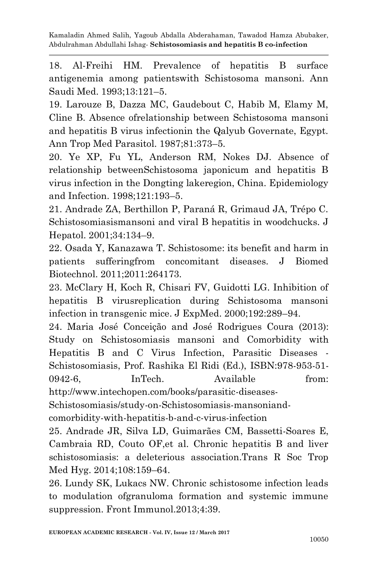18. Al-Freihi HM. Prevalence of hepatitis B surface antigenemia among patientswith Schistosoma mansoni. Ann Saudi Med. 1993;13:121–5.

19. Larouze B, Dazza MC, Gaudebout C, Habib M, Elamy M, Cline B. Absence ofrelationship between Schistosoma mansoni and hepatitis B virus infectionin the Qalyub Governate, Egypt. Ann Trop Med Parasitol. 1987;81:373–5.

20. Ye XP, Fu YL, Anderson RM, Nokes DJ. Absence of relationship betweenSchistosoma japonicum and hepatitis B virus infection in the Dongting lakeregion, China. Epidemiology and Infection. 1998;121:193–5.

21. Andrade ZA, Berthillon P, Paraná R, Grimaud JA, Trépo C. Schistosomiasismansoni and viral B hepatitis in woodchucks. J Hepatol. 2001;34:134–9.

22. Osada Y, Kanazawa T. Schistosome: its benefit and harm in patients sufferingfrom concomitant diseases. J Biomed Biotechnol. 2011;2011:264173.

23. McClary H, Koch R, Chisari FV, Guidotti LG. Inhibition of hepatitis B virusreplication during Schistosoma mansoni infection in transgenic mice. J ExpMed. 2000;192:289–94.

24. Maria José Conceição and José Rodrigues Coura (2013): Study on Schistosomiasis mansoni and Comorbidity with Hepatitis B and C Virus Infection, Parasitic Diseases - Schistosomiasis, Prof. Rashika El Ridi (Ed.), ISBN:978-953-51- 0942-6, InTech. Available from: http://www.intechopen.com/books/parasitic-diseases-

Schistosomiasis/study-on-Schistosomiasis-mansoniand-

comorbidity-with-hepatitis-b-and-c-virus-infection

25. Andrade JR, Silva LD, Guimarães CM, Bassetti-Soares E, Cambraia RD, Couto OF,et al. Chronic hepatitis B and liver schistosomiasis: a deleterious association.Trans R Soc Trop Med Hyg. 2014;108:159–64.

26. Lundy SK, Lukacs NW. Chronic schistosome infection leads to modulation ofgranuloma formation and systemic immune suppression. Front Immunol.2013;4:39.